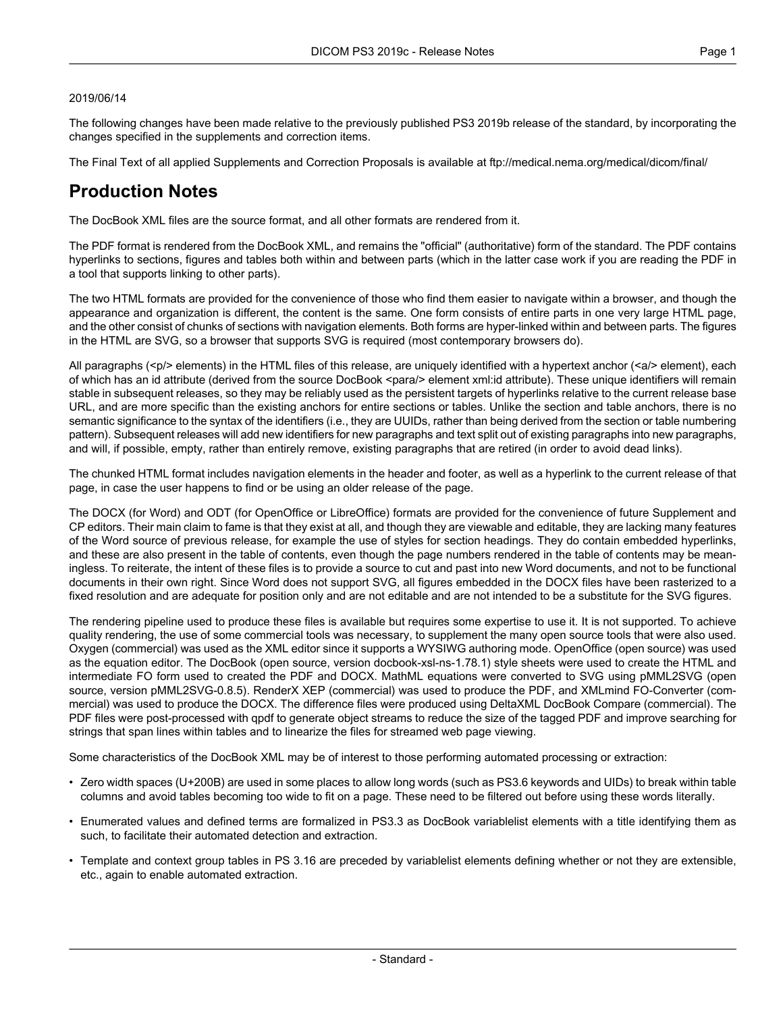#### 2019/06/14

The following changes have been made relative to the previously published PS3 2019b release of the standard, by incorporating the changes specified in the supplements and correction items.

The Final Text of all applied Supplements and Correction Proposals is available at <ftp://medical.nema.org/medical/dicom/final/>

# **Production Notes**

The DocBook XML files are the source format, and all other formats are rendered from it.

The PDF format is rendered from the DocBook XML, and remains the "official" (authoritative) form of the standard. The PDF contains hyperlinks to sections, figures and tables both within and between parts (which in the latter case work if you are reading the PDF in a tool that supports linking to other parts).

The two HTML formats are provided for the convenience of those who find them easier to navigate within a browser, and though the appearance and organization is different, the content is the same. One form consists of entire parts in one very large HTML page, and the other consist of chunks of sections with navigation elements. Both forms are hyper-linked within and between parts. The figures in the HTML are SVG, so a browser that supports SVG is required (most contemporary browsers do).

All paragraphs (<p/> elements) in the HTML files of this release, are uniquely identified with a hypertext anchor (<a/><a/>> element), each of which has an id attribute (derived from the source DocBook <para/> element xml:id attribute). These unique identifiers will remain stable in subsequent releases, so they may be reliably used as the persistent targets of hyperlinks relative to the current release base URL, and are more specific than the existing anchors for entire sections or tables. Unlike the section and table anchors, there is no semantic significance to the syntax of the identifiers (i.e., they are UUIDs, rather than being derived from the section or table numbering pattern). Subsequent releases will add new identifiers for new paragraphs and text split out of existing paragraphs into new paragraphs, and will, if possible, empty, rather than entirely remove, existing paragraphs that are retired (in order to avoid dead links).

The chunked HTML format includes navigation elements in the header and footer, as well as a hyperlink to the current release of that page, in case the user happens to find or be using an older release of the page.

The DOCX (for Word) and ODT (for OpenOffice or LibreOffice) formats are provided for the convenience of future Supplement and CP editors. Their main claim to fame is that they exist at all, and though they are viewable and editable, they are lacking many features of the Word source of previous release, for example the use of styles for section headings. They do contain embedded hyperlinks, and these are also present in the table of contents, even though the page numbers rendered in the table of contents may be mean ingless. To reiterate, the intent of these files is to provide a source to cut and past into new Word documents, and not to be functional documents in their own right. Since Word does not support SVG, all figures embedded in the DOCX files have been rasterized to a fixed resolution and are adequate for position only and are not editable and are not intended to be a substitute for the SVG figures.

The rendering pipeline used to produce these files is available but requires some expertise to use it. It is not supported. To achieve quality rendering, the use of some commercial tools was necessary, to supplement the many open source tools that were also used. Oxygen (commercial) was used as the XML editor since it supports a WYSIWG authoring mode. OpenOffice (open source) was used as the equation editor. The DocBook (open source, version docbook-xsl-ns-1.78.1) style sheets were used to create the HTML and intermediate FO form used to created the PDF and DOCX. MathML equations were converted to SVG using pMML2SVG (open source, version pMML2SVG-0.8.5). RenderX XEP (commercial) was used to produce the PDF, and XMLmind FO-Converter (com mercial) was used to produce the DOCX. The difference files were produced using DeltaXML DocBook Compare (commercial). The PDF files were post-processed with qpdf to generate object streams to reduce the size of the tagged PDF and improve searching for strings that span lines within tables and to linearize the files for streamed web page viewing.

Some characteristics of the DocBook XML may be of interest to those performing automated processing or extraction:

- Zero width spaces (U+200B) are used in some places to allow long words (such as PS3.6 keywords and UIDs) to break within table columns and avoid tables becoming too wide to fit on a page. These need to be filtered out before using these words literally.
- Enumerated values and defined terms are formalized in PS3.3 as DocBook variablelist elements with a title identifying them as such, to facilitate their automated detection and extraction.
- Template and context group tables in PS 3.16 are preceded by variablelist elements defining whether or not they are extensible, etc., again to enable automated extraction.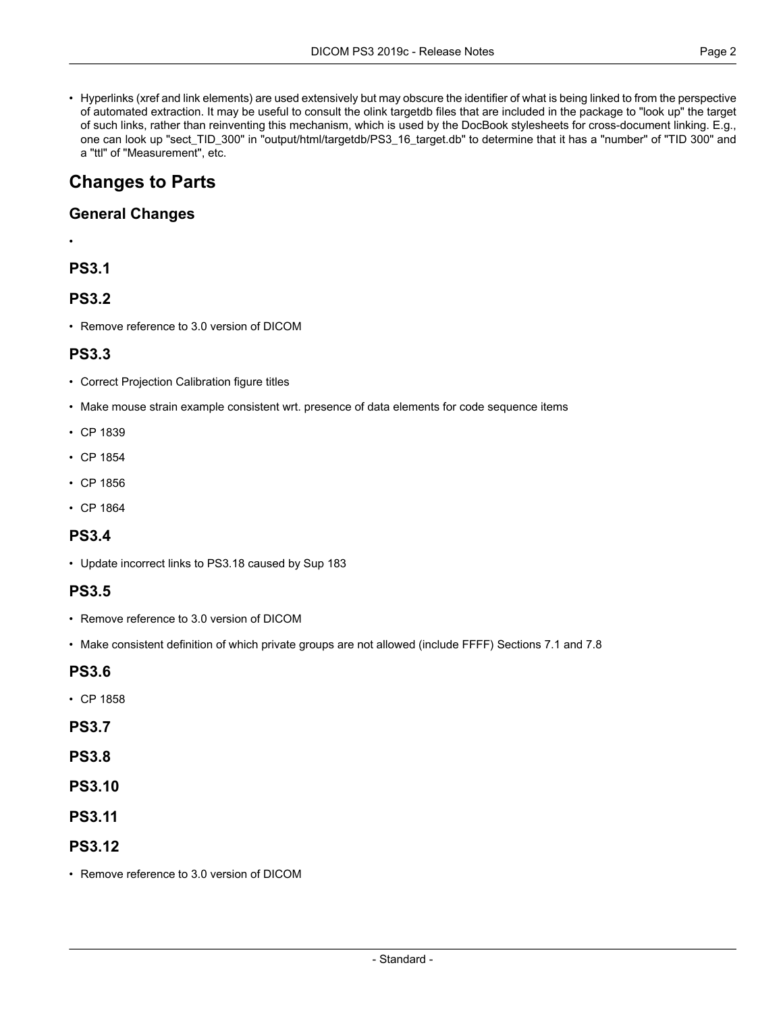• Hyperlinks (xref and link elements) are used extensively but may obscure the identifier of what is being linked to from the perspective of automated extraction. It may be useful to consult the olink targetdb files that are included in the package to "look up" the target of such links, rather than reinventing this mechanism, which is used by the DocBook stylesheets for cross-document linking. E.g., one can look up "sect\_TID\_300" in "output/html/targetdb/PS3\_16\_target.db" to determine that it has a "number" of "TID 300" and a "ttl" of "Measurement", etc.

# **Changes to Parts**

### **General Changes**

•

# **PS3.1**

# **PS3.2**

• Remove reference to 3.0 version of DICOM

### **PS3.3**

- Correct Projection Calibration figure titles
- Make mouse strain example consistent wrt. presence of data elements for code sequence items
- CP [1839](#page-2-0)
- CP [1854](#page-2-1)
- CP [1856](#page-2-2)
- CP [1864](#page-2-3)

# **PS3.4**

• Update incorrect links to PS3.18 caused by Sup 183

#### **PS3.5**

- Remove reference to 3.0 version of DICOM
- Make consistent definition of which private groups are not allowed (include FFFF) Sections 7.1 and 7.8

#### **PS3.6**

• CP [1858](#page-2-4)

#### **PS3.7**

- **PS3.8**
- **PS3.10**
- **PS3.11**

# **PS3.12**

• Remove reference to 3.0 version of DICOM